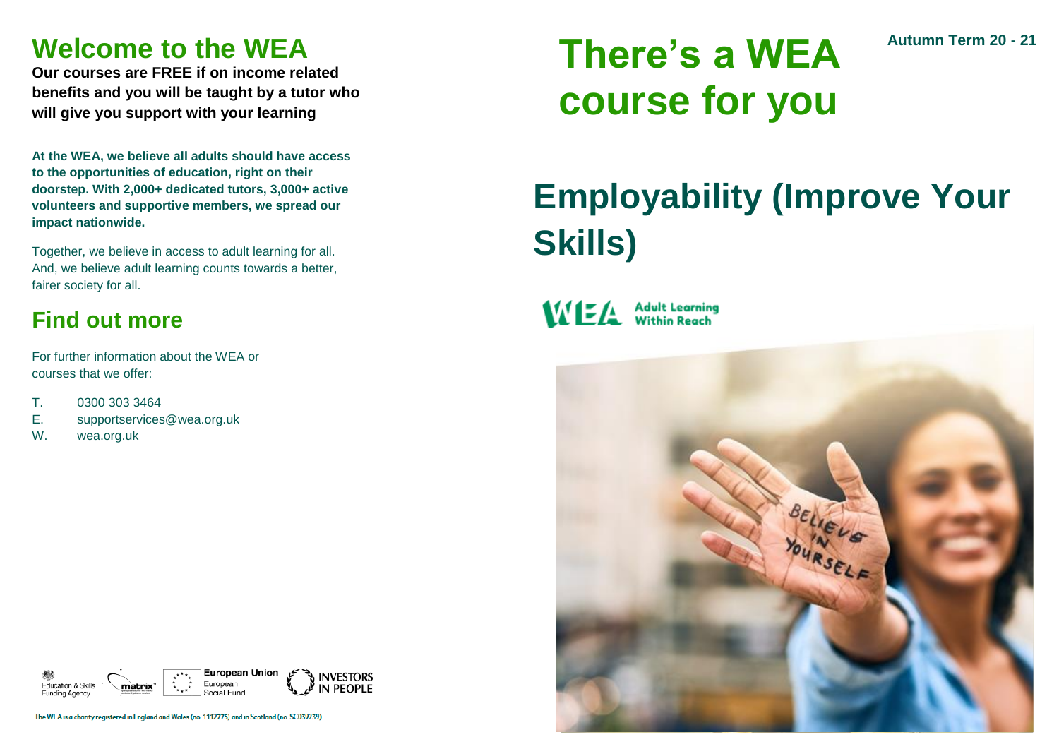# **Welcome to the WEA**

**Our courses are FREE if on income related benefits and you will be taught by a tutor who will give you support with your learning**

**At the WEA, we believe all adults should have access to the opportunities of education, right on their doorstep. With 2,000+ dedicated tutors, 3,000+ active volunteers and supportive members, we spread our impact nationwide.**

Together, we believe in access to adult learning for all. And, we believe adult learning counts towards a better, fairer society for all.

# **Find out more**

For further information about the WEA or courses that we offer:

- T. 0300 303 3464
- E. supportservices@wea.org.uk
- W. wea.org.uk

# **Autumn Term 20 - <sup>21</sup> There's a WEA course for you**

# **Employability (Improve Your Skills)**







The WEA is a charity registered in England and Wales (no. 1112775) and in Scotland (no. SC039239)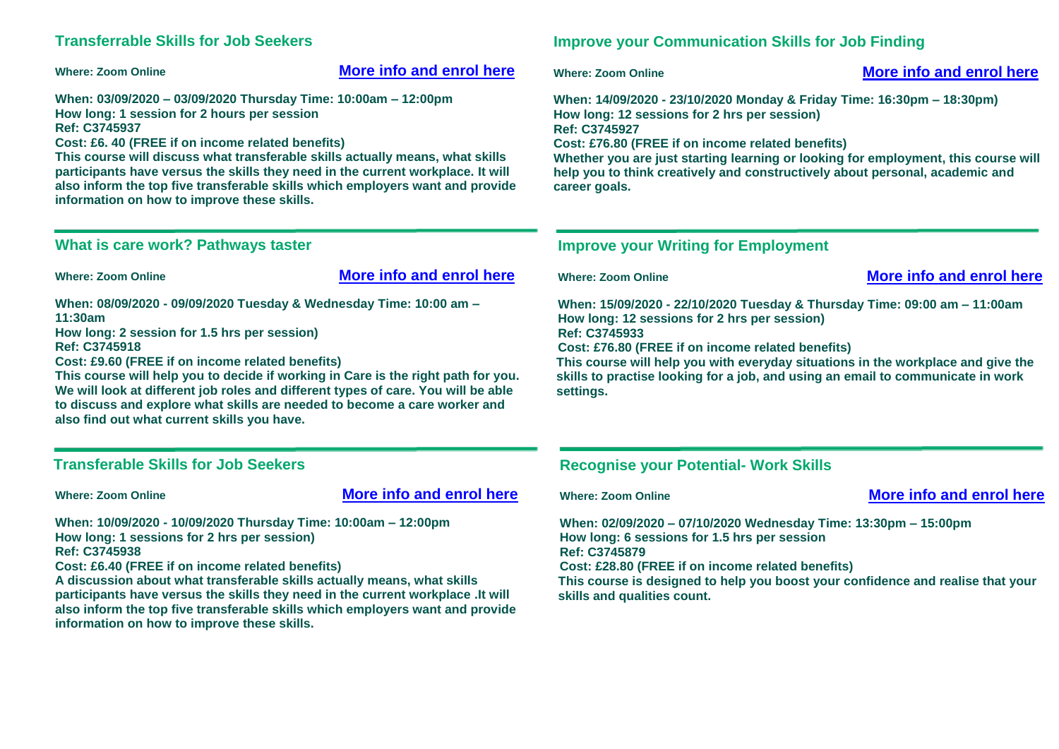## **Transferrable Skills for Job Seekers**

| <b>Transferrable Skills for Job Seekers</b>                                                                                                                                                                                                                                                                                                                                                                                                                                                              |                                 | <b>Improve your Communication Skills for Job Finding</b>                                                                                                                                                                                                                                                                                                                            |                                 |
|----------------------------------------------------------------------------------------------------------------------------------------------------------------------------------------------------------------------------------------------------------------------------------------------------------------------------------------------------------------------------------------------------------------------------------------------------------------------------------------------------------|---------------------------------|-------------------------------------------------------------------------------------------------------------------------------------------------------------------------------------------------------------------------------------------------------------------------------------------------------------------------------------------------------------------------------------|---------------------------------|
| <b>Where: Zoom Online</b>                                                                                                                                                                                                                                                                                                                                                                                                                                                                                | <b>More info and enrol here</b> | <b>Where: Zoom Online</b>                                                                                                                                                                                                                                                                                                                                                           | More info and enrol here        |
| When: 03/09/2020 - 03/09/2020 Thursday Time: 10:00am - 12:00pm<br>How long: 1 session for 2 hours per session<br><b>Ref: C3745937</b><br>Cost: £6. 40 (FREE if on income related benefits)<br>This course will discuss what transferable skills actually means, what skills<br>participants have versus the skills they need in the current workplace. It will<br>also inform the top five transferable skills which employers want and provide<br>information on how to improve these skills.           |                                 | When: 14/09/2020 - 23/10/2020 Monday & Friday Time: 16:30pm - 18:30pm)<br>How long: 12 sessions for 2 hrs per session)<br>Ref: C3745927<br>Cost: £76.80 (FREE if on income related benefits)<br>Whether you are just starting learning or looking for employment, this course will<br>help you to think creatively and constructively about personal, academic and<br>career goals. |                                 |
| <b>What is care work? Pathways taster</b>                                                                                                                                                                                                                                                                                                                                                                                                                                                                |                                 | <b>Improve your Writing for Employment</b>                                                                                                                                                                                                                                                                                                                                          |                                 |
| <b>Where: Zoom Online</b>                                                                                                                                                                                                                                                                                                                                                                                                                                                                                | <b>More info and enrol here</b> | <b>Where: Zoom Online</b>                                                                                                                                                                                                                                                                                                                                                           | <b>More info and enrol here</b> |
| When: 08/09/2020 - 09/09/2020 Tuesday & Wednesday Time: 10:00 am -<br>11:30am<br>How long: 2 session for 1.5 hrs per session)<br>Ref: C3745918<br>Cost: £9.60 (FREE if on income related benefits)<br>This course will help you to decide if working in Care is the right path for you.<br>We will look at different job roles and different types of care. You will be able<br>to discuss and explore what skills are needed to become a care worker and<br>also find out what current skills you have. |                                 | When: 15/09/2020 - 22/10/2020 Tuesday & Thursday Time: 09:00 am - 11:00am<br>How long: 12 sessions for 2 hrs per session)<br>Ref: C3745933<br>Cost: £76.80 (FREE if on income related benefits)<br>This course will help you with everyday situations in the workplace and give the<br>skills to practise looking for a job, and using an email to communicate in work<br>settings. |                                 |
| <b>Transferable Skills for Job Seekers</b>                                                                                                                                                                                                                                                                                                                                                                                                                                                               |                                 | <b>Recognise your Potential- Work Skills</b>                                                                                                                                                                                                                                                                                                                                        |                                 |
| <b>Where: Zoom Online</b>                                                                                                                                                                                                                                                                                                                                                                                                                                                                                | <b>More info and enrol here</b> | <b>Where: Zoom Online</b>                                                                                                                                                                                                                                                                                                                                                           | More info and enrol here        |
| When: 10/09/2020 - 10/09/2020 Thursday Time: 10:00am - 12:00pm<br>How long: 1 sessions for 2 hrs per session)<br>Ref: C3745938<br>Cost: £6.40 (FREE if on income related benefits)<br>A discussion about what transferable skills actually means, what skills<br>participants have versus the skills they need in the current workplace .It will<br>also inform the top five transferable skills which employers want and provide<br>information on how to improve these skills.                         |                                 | When: 02/09/2020 - 07/10/2020 Wednesday Time: 13:30pm - 15:00pm<br>How long: 6 sessions for 1.5 hrs per session<br>Ref: C3745879<br>Cost: £28.80 (FREE if on income related benefits)<br>This course is designed to help you boost your confidence and realise that your<br>skills and qualities count.                                                                             |                                 |